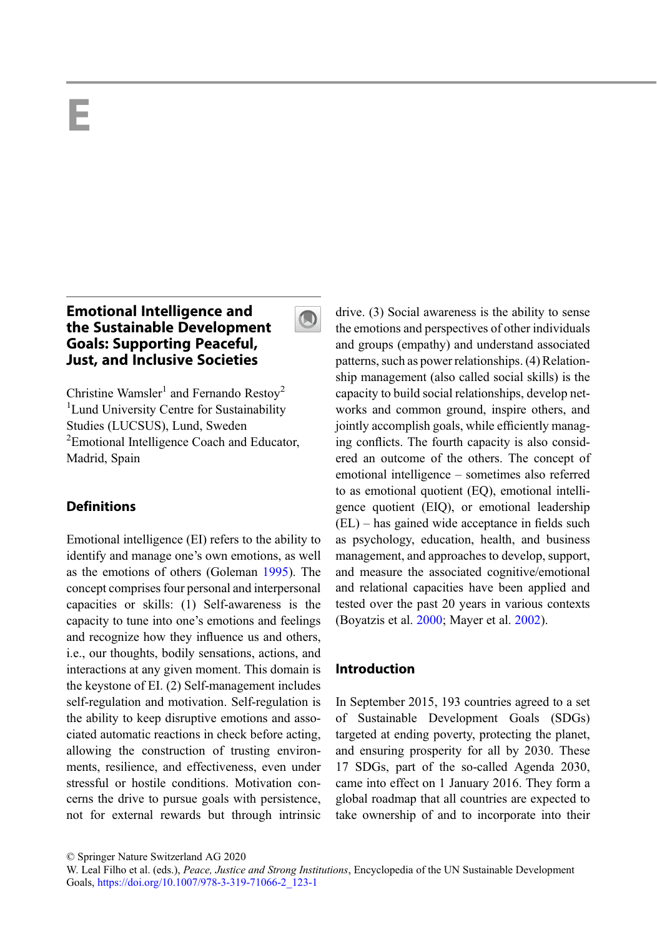# <span id="page-0-0"></span>E

# Emotional Intelligence and the Sustainable Development Goals: Supporting Peaceful, Just, and Inclusive Societies

Christine Wamsler<sup>1</sup> and Fernando Restoy<sup>2</sup> <sup>1</sup> Lund University Centre for Sustainability Studies (LUCSUS), Lund, Sweden <sup>2</sup> Emotional Intelligence Coach and Educator, Madrid, Spain

## **Definitions**

Emotional intelligence (EI) refers to the ability to identify and manage one's own emotions, as well as the emotions of others (Goleman [1995\)](#page-8-0). The concept comprises four personal and interpersonal capacities or skills: (1) Self-awareness is the capacity to tune into one's emotions and feelings and recognize how they influence us and others, i.e., our thoughts, bodily sensations, actions, and interactions at any given moment. This domain is the keystone of EI. (2) Self-management includes self-regulation and motivation. Self-regulation is the ability to keep disruptive emotions and associated automatic reactions in check before acting, allowing the construction of trusting environments, resilience, and effectiveness, even under stressful or hostile conditions. Motivation concerns the drive to pursue goals with persistence, not for external rewards but through intrinsic drive. (3) Social awareness is the ability to sense the emotions and perspectives of other individuals and groups (empathy) and understand associated patterns, such as power relationships. (4) Relationship management (also called social skills) is the capacity to build social relationships, develop networks and common ground, inspire others, and jointly accomplish goals, while efficiently managing conflicts. The fourth capacity is also considered an outcome of the others. The concept of emotional intelligence – sometimes also referred to as emotional quotient (EQ), emotional intelligence quotient (EIQ), or emotional leadership (EL) – has gained wide acceptance in fields such as psychology, education, health, and business management, and approaches to develop, support, and measure the associated cognitive/emotional and relational capacities have been applied and tested over the past 20 years in various contexts (Boyatzis et al. [2000](#page-8-0); Mayer et al. [2002\)](#page-9-0).

## Introduction

In September 2015, 193 countries agreed to a set of Sustainable Development Goals (SDGs) targeted at ending poverty, protecting the planet, and ensuring prosperity for all by 2030. These 17 SDGs, part of the so-called Agenda 2030, came into effect on 1 January 2016. They form a global roadmap that all countries are expected to take ownership of and to incorporate into their

 $\bigcirc$ 

<sup>©</sup> Springer Nature Switzerland AG 2020

W. Leal Filho et al. (eds.), Peace, Justice and Strong Institutions, Encyclopedia of the UN Sustainable Development Goals, [https://doi.org/10.1007/978-3-319-71066-2\\_123-1](https://doi.org/10.1007/978-3-319-71066-2_123-1)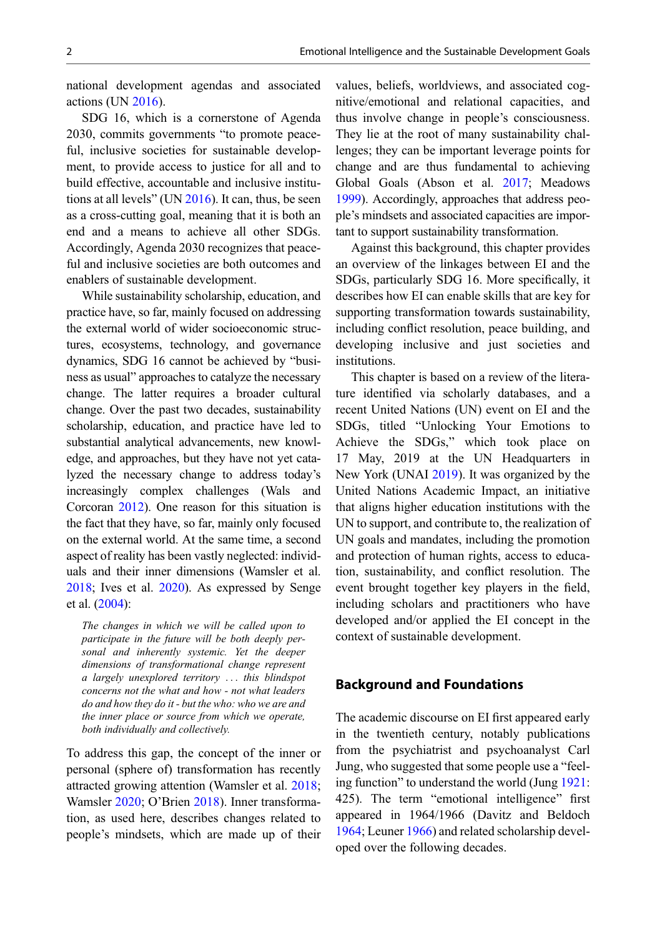national development agendas and associated  $\arctan(UN 2016)$  $\arctan(UN 2016)$ .

SDG 16, which is a cornerstone of Agenda 2030, commits governments "to promote peaceful, inclusive societies for sustainable development, to provide access to justice for all and to build effective, accountable and inclusive institutions at all levels" (UN [2016](#page-10-0)). It can, thus, be seen as a cross-cutting goal, meaning that it is both an end and a means to achieve all other SDGs. Accordingly, Agenda 2030 recognizes that peaceful and inclusive societies are both outcomes and enablers of sustainable development.

While sustainability scholarship, education, and practice have, so far, mainly focused on addressing the external world of wider socioeconomic structures, ecosystems, technology, and governance dynamics, SDG 16 cannot be achieved by "business as usual" approaches to catalyze the necessary change. The latter requires a broader cultural change. Over the past two decades, sustainability scholarship, education, and practice have led to substantial analytical advancements, new knowledge, and approaches, but they have not yet catalyzed the necessary change to address today's increasingly complex challenges (Wals and Corcoran [2012\)](#page-10-0). One reason for this situation is the fact that they have, so far, mainly only focused on the external world. At the same time, a second aspect of reality has been vastly neglected: individuals and their inner dimensions (Wamsler et al. [2018;](#page-10-0) Ives et al. [2020\)](#page-9-0). As expressed by Senge et al. [\(2004](#page-9-0)):

The changes in which we will be called upon to participate in the future will be both deeply personal and inherently systemic. Yet the deeper dimensions of transformational change represent a largely unexplored territory ... this blindspot concerns not the what and how - not what leaders do and how they do it - but the who: who we are and the inner place or source from which we operate, both individually and collectively.

To address this gap, the concept of the inner or personal (sphere of) transformation has recently attracted growing attention (Wamsler et al. [2018;](#page-10-0) Wamsler [2020;](#page-10-0) O'Brien [2018\)](#page-9-0). Inner transformation, as used here, describes changes related to people's mindsets, which are made up of their values, beliefs, worldviews, and associated cognitive/emotional and relational capacities, and thus involve change in people's consciousness. They lie at the root of many sustainability challenges; they can be important leverage points for change and are thus fundamental to achieving Global Goals (Abson et al. [2017;](#page-8-0) Meadows [1999\)](#page-9-0). Accordingly, approaches that address people's mindsets and associated capacities are important to support sustainability transformation.

Against this background, this chapter provides an overview of the linkages between EI and the SDGs, particularly SDG 16. More specifically, it describes how EI can enable skills that are key for supporting transformation towards sustainability, including conflict resolution, peace building, and developing inclusive and just societies and institutions.

This chapter is based on a review of the literature identified via scholarly databases, and a recent United Nations (UN) event on EI and the SDGs, titled "Unlocking Your Emotions to Achieve the SDGs," which took place on 17 May, 2019 at the UN Headquarters in New York (UNAI [2019](#page-10-0)). It was organized by the United Nations Academic Impact, an initiative that aligns higher education institutions with the UN to support, and contribute to, the realization of UN goals and mandates, including the promotion and protection of human rights, access to education, sustainability, and conflict resolution. The event brought together key players in the field, including scholars and practitioners who have developed and/or applied the EI concept in the context of sustainable development.

## Background and Foundations

The academic discourse on EI first appeared early in the twentieth century, notably publications from the psychiatrist and psychoanalyst Carl Jung, who suggested that some people use a "feeling function" to understand the world (Jung [1921:](#page-9-0) 425). The term "emotional intelligence" first appeared in 1964/1966 (Davitz and Beldoch [1964;](#page-8-0) Leuner [1966](#page-9-0)) and related scholarship developed over the following decades.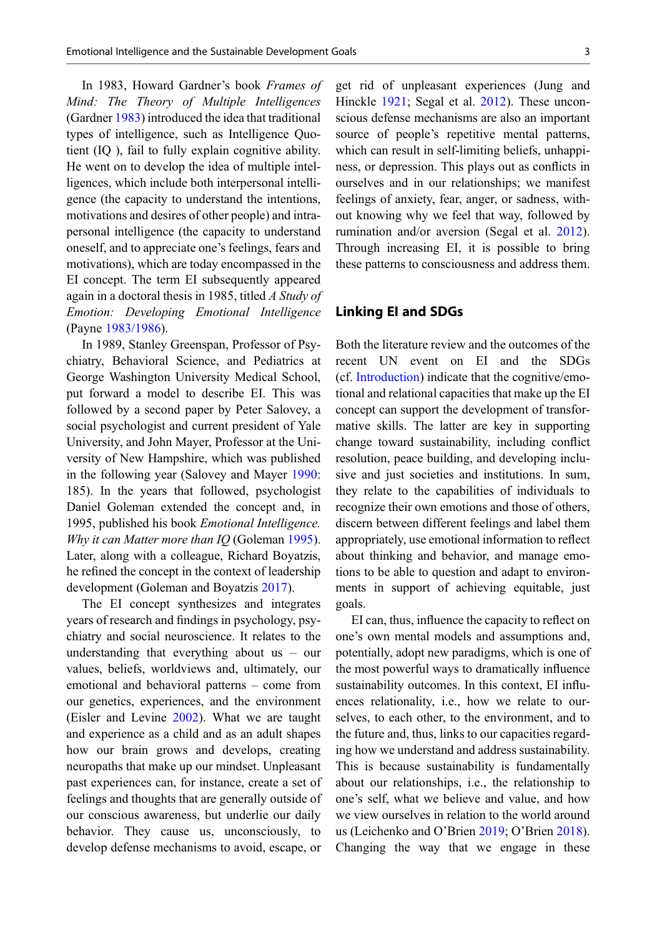In 1983, Howard Gardner's book Frames of Mind: The Theory of Multiple Intelligences (Gardner [1983](#page-8-0)) introduced the idea that traditional types of intelligence, such as Intelligence Quotient (IQ ), fail to fully explain cognitive ability. He went on to develop the idea of multiple intelligences, which include both interpersonal intelligence (the capacity to understand the intentions, motivations and desires of other people) and intrapersonal intelligence (the capacity to understand oneself, and to appreciate one's feelings, fears and motivations), which are today encompassed in the EI concept. The term EI subsequently appeared again in a doctoral thesis in 1985, titled A Study of Emotion: Developing Emotional Intelligence (Payne [1983/1986\)](#page-9-0).

In 1989, Stanley Greenspan, Professor of Psychiatry, Behavioral Science, and Pediatrics at George Washington University Medical School, put forward a model to describe EI. This was followed by a second paper by Peter Salovey, a social psychologist and current president of Yale University, and John Mayer, Professor at the University of New Hampshire, which was published in the following year (Salovey and Mayer [1990:](#page-9-0) 185). In the years that followed, psychologist Daniel Goleman extended the concept and, in 1995, published his book *Emotional Intelligence*. Why it can Matter more than IQ (Goleman [1995\)](#page-8-0). Later, along with a colleague, Richard Boyatzis, he refined the concept in the context of leadership development (Goleman and Boyatzis [2017\)](#page-8-0).

The EI concept synthesizes and integrates years of research and findings in psychology, psychiatry and social neuroscience. It relates to the understanding that everything about us – our values, beliefs, worldviews and, ultimately, our emotional and behavioral patterns – come from our genetics, experiences, and the environment (Eisler and Levine [2002\)](#page-8-0). What we are taught and experience as a child and as an adult shapes how our brain grows and develops, creating neuropaths that make up our mindset. Unpleasant past experiences can, for instance, create a set of feelings and thoughts that are generally outside of our conscious awareness, but underlie our daily behavior. They cause us, unconsciously, to develop defense mechanisms to avoid, escape, or

get rid of unpleasant experiences (Jung and Hinckle [1921;](#page-9-0) Segal et al. [2012](#page-9-0)). These unconscious defense mechanisms are also an important source of people's repetitive mental patterns, which can result in self-limiting beliefs, unhappiness, or depression. This plays out as conflicts in ourselves and in our relationships; we manifest feelings of anxiety, fear, anger, or sadness, without knowing why we feel that way, followed by rumination and/or aversion (Segal et al. [2012\)](#page-9-0). Through increasing EI, it is possible to bring these patterns to consciousness and address them.

## Linking EI and SDGs

Both the literature review and the outcomes of the recent UN event on EI and the SDGs (cf. [Introduction\)](#page-0-0) indicate that the cognitive/emotional and relational capacities that make up the EI concept can support the development of transformative skills. The latter are key in supporting change toward sustainability, including conflict resolution, peace building, and developing inclusive and just societies and institutions. In sum, they relate to the capabilities of individuals to recognize their own emotions and those of others, discern between different feelings and label them appropriately, use emotional information to reflect about thinking and behavior, and manage emotions to be able to question and adapt to environments in support of achieving equitable, just goals.

EI can, thus, influence the capacity to reflect on one's own mental models and assumptions and, potentially, adopt new paradigms, which is one of the most powerful ways to dramatically influence sustainability outcomes. In this context, EI influences relationality, i.e., how we relate to ourselves, to each other, to the environment, and to the future and, thus, links to our capacities regarding how we understand and address sustainability. This is because sustainability is fundamentally about our relationships, i.e., the relationship to one's self, what we believe and value, and how we view ourselves in relation to the world around us (Leichenko and O'Brien [2019](#page-9-0); O'Brien [2018\)](#page-9-0). Changing the way that we engage in these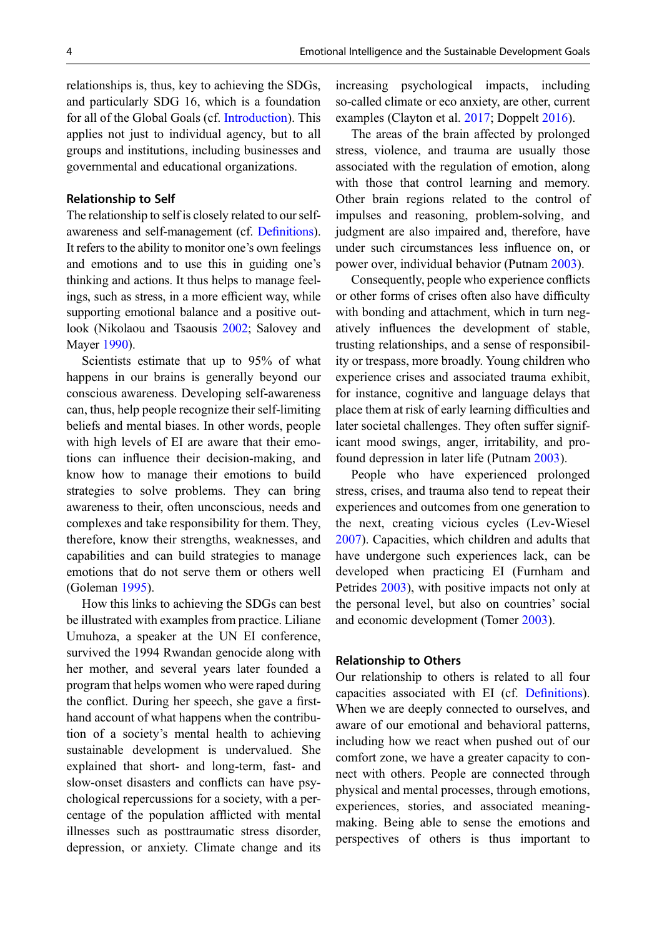relationships is, thus, key to achieving the SDGs, and particularly SDG 16, which is a foundation for all of the Global Goals (cf. [Introduction\)](#page-0-0). This applies not just to individual agency, but to all groups and institutions, including businesses and governmental and educational organizations.

#### Relationship to Self

The relationship to self is closely related to our selfawareness and self-management (cf. Defi[nitions](#page-0-0)). It refers to the ability to monitor one's own feelings and emotions and to use this in guiding one's thinking and actions. It thus helps to manage feelings, such as stress, in a more efficient way, while supporting emotional balance and a positive outlook (Nikolaou and Tsaousis [2002;](#page-9-0) Salovey and Mayer [1990](#page-9-0)).

Scientists estimate that up to 95% of what happens in our brains is generally beyond our conscious awareness. Developing self-awareness can, thus, help people recognize their self-limiting beliefs and mental biases. In other words, people with high levels of EI are aware that their emotions can influence their decision-making, and know how to manage their emotions to build strategies to solve problems. They can bring awareness to their, often unconscious, needs and complexes and take responsibility for them. They, therefore, know their strengths, weaknesses, and capabilities and can build strategies to manage emotions that do not serve them or others well (Goleman [1995](#page-8-0)).

How this links to achieving the SDGs can best be illustrated with examples from practice. Liliane Umuhoza, a speaker at the UN EI conference, survived the 1994 Rwandan genocide along with her mother, and several years later founded a program that helps women who were raped during the conflict. During her speech, she gave a firsthand account of what happens when the contribution of a society's mental health to achieving sustainable development is undervalued. She explained that short- and long-term, fast- and slow-onset disasters and conflicts can have psychological repercussions for a society, with a percentage of the population afflicted with mental illnesses such as posttraumatic stress disorder, depression, or anxiety. Climate change and its

increasing psychological impacts, including so-called climate or eco anxiety, are other, current examples (Clayton et al. [2017;](#page-8-0) Doppelt [2016\)](#page-8-0).

The areas of the brain affected by prolonged stress, violence, and trauma are usually those associated with the regulation of emotion, along with those that control learning and memory. Other brain regions related to the control of impulses and reasoning, problem-solving, and judgment are also impaired and, therefore, have under such circumstances less influence on, or power over, individual behavior (Putnam [2003\)](#page-9-0).

Consequently, people who experience conflicts or other forms of crises often also have difficulty with bonding and attachment, which in turn negatively influences the development of stable, trusting relationships, and a sense of responsibility or trespass, more broadly. Young children who experience crises and associated trauma exhibit, for instance, cognitive and language delays that place them at risk of early learning difficulties and later societal challenges. They often suffer significant mood swings, anger, irritability, and profound depression in later life (Putnam [2003\)](#page-9-0).

People who have experienced prolonged stress, crises, and trauma also tend to repeat their experiences and outcomes from one generation to the next, creating vicious cycles (Lev-Wiesel [2007\)](#page-9-0). Capacities, which children and adults that have undergone such experiences lack, can be developed when practicing EI (Furnham and Petrides [2003\)](#page-8-0), with positive impacts not only at the personal level, but also on countries' social and economic development (Tomer [2003](#page-10-0)).

#### Relationship to Others

Our relationship to others is related to all four capacities associated with EI (cf. Defi[nitions\)](#page-0-0). When we are deeply connected to ourselves, and aware of our emotional and behavioral patterns, including how we react when pushed out of our comfort zone, we have a greater capacity to connect with others. People are connected through physical and mental processes, through emotions, experiences, stories, and associated meaningmaking. Being able to sense the emotions and perspectives of others is thus important to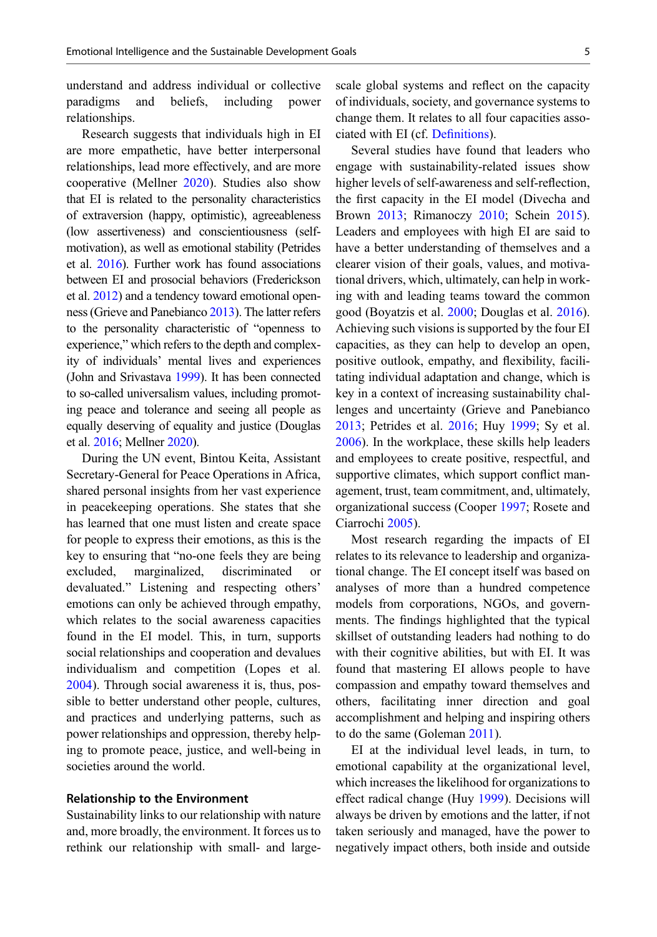<span id="page-4-0"></span>understand and address individual or collective paradigms and beliefs, including power relationships.

Research suggests that individuals high in EI are more empathetic, have better interpersonal relationships, lead more effectively, and are more cooperative (Mellner [2020\)](#page-9-0). Studies also show that EI is related to the personality characteristics of extraversion (happy, optimistic), agreeableness (low assertiveness) and conscientiousness (selfmotivation), as well as emotional stability (Petrides et al. [2016\)](#page-9-0). Further work has found associations between EI and prosocial behaviors (Frederickson et al. [2012\)](#page-8-0) and a tendency toward emotional openness (Grieve and Panebianco [2013](#page-9-0)). The latter refers to the personality characteristic of "openness to experience," which refers to the depth and complexity of individuals' mental lives and experiences (John and Srivastava [1999\)](#page-9-0). It has been connected to so-called universalism values, including promoting peace and tolerance and seeing all people as equally deserving of equality and justice (Douglas et al. [2016](#page-8-0); Mellner [2020\)](#page-9-0).

During the UN event, Bintou Keita, Assistant Secretary-General for Peace Operations in Africa, shared personal insights from her vast experience in peacekeeping operations. She states that she has learned that one must listen and create space for people to express their emotions, as this is the key to ensuring that "no-one feels they are being excluded, marginalized, discriminated or devaluated." Listening and respecting others' emotions can only be achieved through empathy, which relates to the social awareness capacities found in the EI model. This, in turn, supports social relationships and cooperation and devalues individualism and competition (Lopes et al. [2004\)](#page-9-0). Through social awareness it is, thus, possible to better understand other people, cultures, and practices and underlying patterns, such as power relationships and oppression, thereby helping to promote peace, justice, and well-being in societies around the world.

## Relationship to the Environment

Sustainability links to our relationship with nature and, more broadly, the environment. It forces us to rethink our relationship with small- and largescale global systems and reflect on the capacity of individuals, society, and governance systems to change them. It relates to all four capacities associated with EI (cf. Defi[nitions\)](#page-0-0).

Several studies have found that leaders who engage with sustainability-related issues show higher levels of self-awareness and self-reflection, the first capacity in the EI model (Divecha and Brown [2013](#page-8-0); Rimanoczy [2010](#page-9-0); Schein [2015\)](#page-9-0). Leaders and employees with high EI are said to have a better understanding of themselves and a clearer vision of their goals, values, and motivational drivers, which, ultimately, can help in working with and leading teams toward the common good (Boyatzis et al. [2000;](#page-8-0) Douglas et al. [2016\)](#page-8-0). Achieving such visions is supported by the four EI capacities, as they can help to develop an open, positive outlook, empathy, and flexibility, facilitating individual adaptation and change, which is key in a context of increasing sustainability challenges and uncertainty (Grieve and Panebianco [2013;](#page-9-0) Petrides et al. [2016](#page-9-0); Huy [1999](#page-9-0); Sy et al. [2006\)](#page-10-0). In the workplace, these skills help leaders and employees to create positive, respectful, and supportive climates, which support conflict management, trust, team commitment, and, ultimately, organizational success (Cooper [1997](#page-8-0); Rosete and Ciarrochi [2005\)](#page-9-0).

Most research regarding the impacts of EI relates to its relevance to leadership and organizational change. The EI concept itself was based on analyses of more than a hundred competence models from corporations, NGOs, and governments. The findings highlighted that the typical skillset of outstanding leaders had nothing to do with their cognitive abilities, but with EI. It was found that mastering EI allows people to have compassion and empathy toward themselves and others, facilitating inner direction and goal accomplishment and helping and inspiring others to do the same (Goleman [2011](#page-8-0)).

EI at the individual level leads, in turn, to emotional capability at the organizational level, which increases the likelihood for organizations to effect radical change (Huy [1999](#page-9-0)). Decisions will always be driven by emotions and the latter, if not taken seriously and managed, have the power to negatively impact others, both inside and outside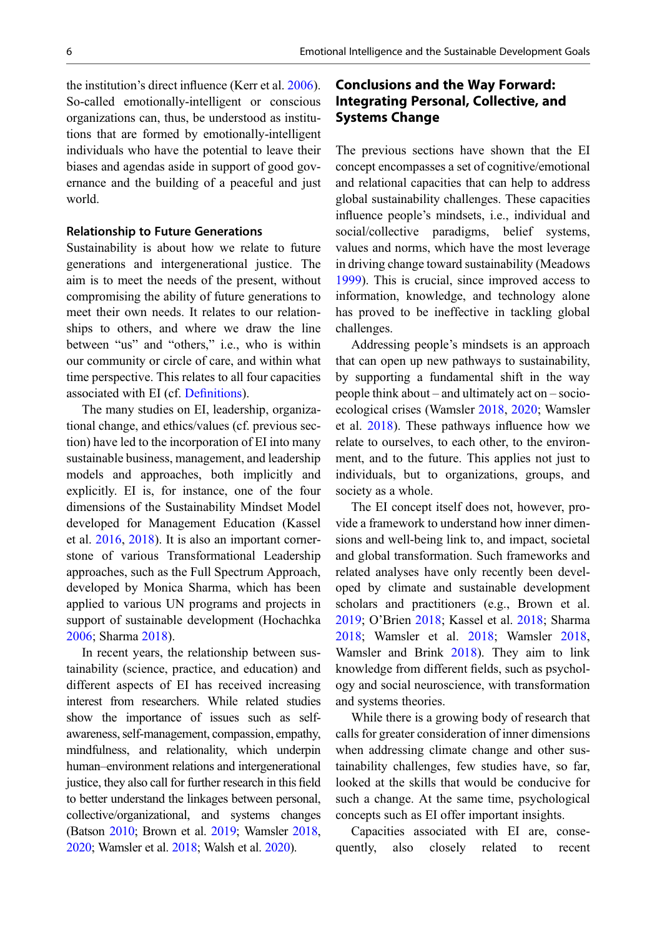the institution's direct influence (Kerr et al. [2006\)](#page-9-0). So-called emotionally-intelligent or conscious organizations can, thus, be understood as institutions that are formed by emotionally-intelligent individuals who have the potential to leave their biases and agendas aside in support of good governance and the building of a peaceful and just world.

#### Relationship to Future Generations

Sustainability is about how we relate to future generations and intergenerational justice. The aim is to meet the needs of the present, without compromising the ability of future generations to meet their own needs. It relates to our relationships to others, and where we draw the line between "us" and "others," i.e., who is within our community or circle of care, and within what time perspective. This relates to all four capacities associated with EI (cf. Defi[nitions](#page-0-0)).

The many studies on EI, leadership, organizational change, and ethics/values (cf. previous section) have led to the incorporation of EI into many sustainable business, management, and leadership models and approaches, both implicitly and explicitly. EI is, for instance, one of the four dimensions of the Sustainability Mindset Model developed for Management Education (Kassel et al. [2016](#page-9-0), [2018\)](#page-9-0). It is also an important cornerstone of various Transformational Leadership approaches, such as the Full Spectrum Approach, developed by Monica Sharma, which has been applied to various UN programs and projects in support of sustainable development (Hochachka [2006;](#page-9-0) Sharma [2018\)](#page-9-0).

In recent years, the relationship between sustainability (science, practice, and education) and different aspects of EI has received increasing interest from researchers. While related studies show the importance of issues such as selfawareness, self-management, compassion, empathy, mindfulness, and relationality, which underpin human–environment relations and intergenerational justice, they also call for further research in this field to better understand the linkages between personal, collective/organizational, and systems changes (Batson [2010](#page-8-0); Brown et al. [2019;](#page-8-0) Wamsler [2018](#page-10-0), [2020](#page-10-0); Wamsler et al. [2018;](#page-10-0) Walsh et al. [2020\)](#page-10-0).

# Conclusions and the Way Forward: Integrating Personal, Collective, and Systems Change

The previous sections have shown that the EI concept encompasses a set of cognitive/emotional and relational capacities that can help to address global sustainability challenges. These capacities influence people's mindsets, i.e., individual and social/collective paradigms, belief systems, values and norms, which have the most leverage in driving change toward sustainability (Meadows [1999\)](#page-9-0). This is crucial, since improved access to information, knowledge, and technology alone has proved to be ineffective in tackling global challenges.

Addressing people's mindsets is an approach that can open up new pathways to sustainability, by supporting a fundamental shift in the way people think about – and ultimately act on – socioecological crises (Wamsler [2018,](#page-10-0) [2020](#page-10-0); Wamsler et al. [2018](#page-10-0)). These pathways influence how we relate to ourselves, to each other, to the environment, and to the future. This applies not just to individuals, but to organizations, groups, and society as a whole.

The EI concept itself does not, however, provide a framework to understand how inner dimensions and well-being link to, and impact, societal and global transformation. Such frameworks and related analyses have only recently been developed by climate and sustainable development scholars and practitioners (e.g., Brown et al. [2019;](#page-8-0) O'Brien [2018](#page-9-0); Kassel et al. [2018;](#page-9-0) Sharma [2018;](#page-9-0) Wamsler et al. [2018;](#page-10-0) Wamsler [2018](#page-10-0), Wamsler and Brink [2018\)](#page-10-0). They aim to link knowledge from different fields, such as psychology and social neuroscience, with transformation and systems theories.

While there is a growing body of research that calls for greater consideration of inner dimensions when addressing climate change and other sustainability challenges, few studies have, so far, looked at the skills that would be conducive for such a change. At the same time, psychological concepts such as EI offer important insights.

Capacities associated with EI are, consequently, also closely related to recent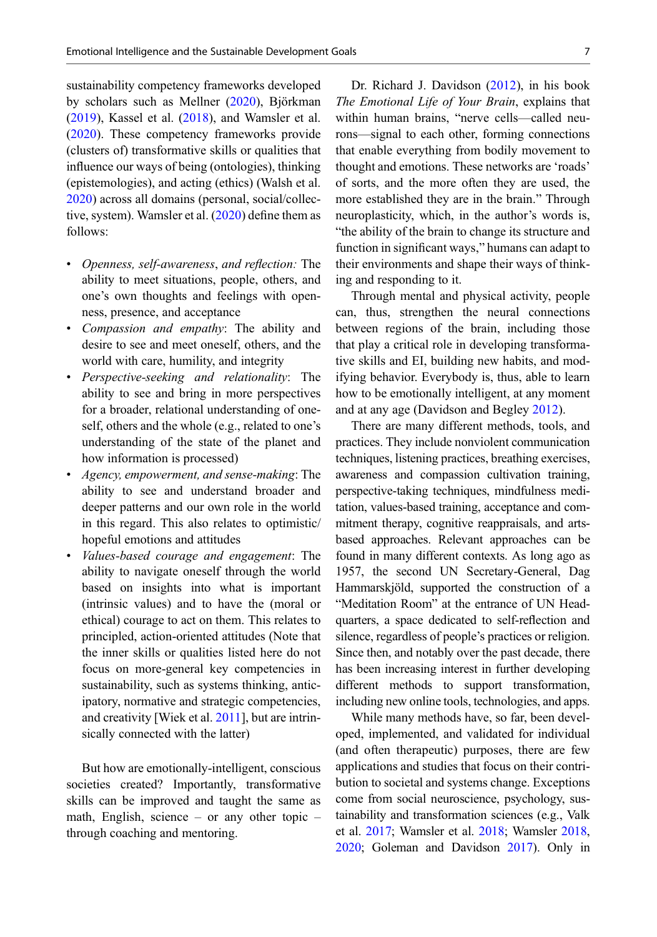sustainability competency frameworks developed by scholars such as Mellner ([2020\)](#page-9-0), Björkman  $(2019)$  $(2019)$ , Kassel et al.  $(2018)$  $(2018)$ , and Wamsler et al. [\(2020](#page-10-0)). These competency frameworks provide (clusters of) transformative skills or qualities that influence our ways of being (ontologies), thinking (epistemologies), and acting (ethics) (Walsh et al. [2020\)](#page-10-0) across all domains (personal, social/collective, system). Wamsler et al. ([2020\)](#page-10-0) define them as follows:

- Openness, self-awareness, and reflection: The ability to meet situations, people, others, and one's own thoughts and feelings with openness, presence, and acceptance
- Compassion and empathy: The ability and desire to see and meet oneself, others, and the world with care, humility, and integrity
- Perspective-seeking and relationality: The ability to see and bring in more perspectives for a broader, relational understanding of oneself, others and the whole (e.g., related to one's understanding of the state of the planet and how information is processed)
- Agency, empowerment, and sense-making: The ability to see and understand broader and deeper patterns and our own role in the world in this regard. This also relates to optimistic/ hopeful emotions and attitudes
- Values-based courage and engagement: The ability to navigate oneself through the world based on insights into what is important (intrinsic values) and to have the (moral or ethical) courage to act on them. This relates to principled, action-oriented attitudes (Note that the inner skills or qualities listed here do not focus on more-general key competencies in sustainability, such as systems thinking, anticipatory, normative and strategic competencies, and creativity [Wiek et al. [2011](#page-10-0)], but are intrinsically connected with the latter)

But how are emotionally-intelligent, conscious societies created? Importantly, transformative skills can be improved and taught the same as math, English, science – or any other topic – through coaching and mentoring.

Dr. Richard J. Davidson ([2012\)](#page-8-0), in his book The Emotional Life of Your Brain, explains that within human brains, "nerve cells—called neurons—signal to each other, forming connections that enable everything from bodily movement to thought and emotions. These networks are 'roads' of sorts, and the more often they are used, the more established they are in the brain." Through neuroplasticity, which, in the author's words is, "the ability of the brain to change its structure and function in significant ways," humans can adapt to their environments and shape their ways of thinking and responding to it.

Through mental and physical activity, people can, thus, strengthen the neural connections between regions of the brain, including those that play a critical role in developing transformative skills and EI, building new habits, and modifying behavior. Everybody is, thus, able to learn how to be emotionally intelligent, at any moment and at any age (Davidson and Begley [2012](#page-8-0)).

There are many different methods, tools, and practices. They include nonviolent communication techniques, listening practices, breathing exercises, awareness and compassion cultivation training, perspective-taking techniques, mindfulness meditation, values-based training, acceptance and commitment therapy, cognitive reappraisals, and artsbased approaches. Relevant approaches can be found in many different contexts. As long ago as 1957, the second UN Secretary-General, Dag Hammarskjöld, supported the construction of a "Meditation Room" at the entrance of UN Headquarters, a space dedicated to self-reflection and silence, regardless of people's practices or religion. Since then, and notably over the past decade, there has been increasing interest in further developing different methods to support transformation, including new online tools, technologies, and apps.

While many methods have, so far, been developed, implemented, and validated for individual (and often therapeutic) purposes, there are few applications and studies that focus on their contribution to societal and systems change. Exceptions come from social neuroscience, psychology, sustainability and transformation sciences (e.g., Valk et al. [2017;](#page-10-0) Wamsler et al. [2018;](#page-10-0) Wamsler [2018](#page-10-0), [2020;](#page-10-0) Goleman and Davidson [2017](#page-9-0)). Only in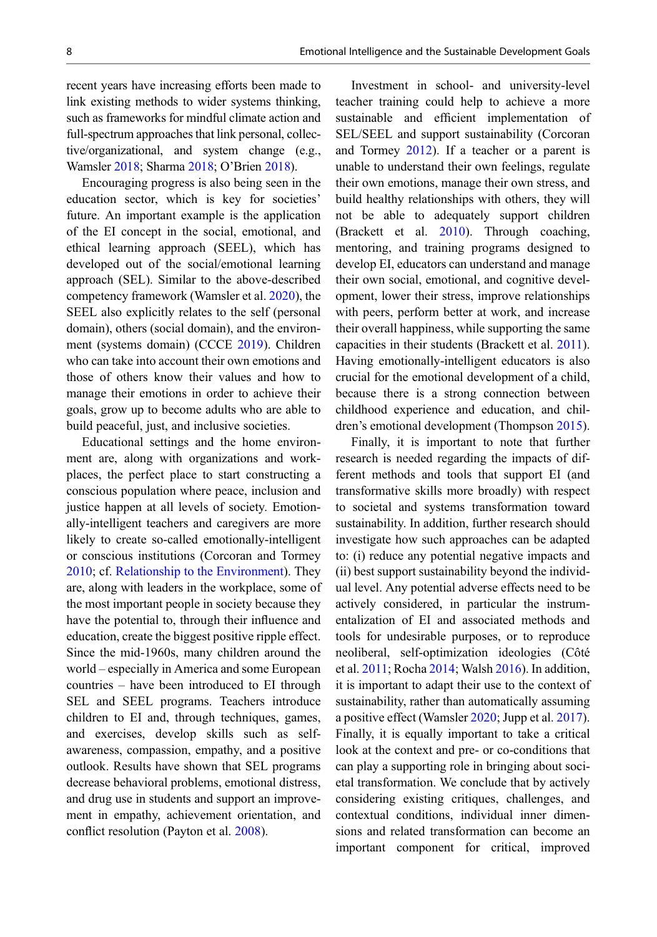recent years have increasing efforts been made to link existing methods to wider systems thinking, such as frameworks for mindful climate action and full-spectrum approaches that link personal, collective/organizational, and system change (e.g., Wamsler [2018](#page-10-0); Sharma [2018](#page-9-0); O'Brien [2018](#page-9-0)).

Encouraging progress is also being seen in the education sector, which is key for societies' future. An important example is the application of the EI concept in the social, emotional, and ethical learning approach (SEEL), which has developed out of the social/emotional learning approach (SEL). Similar to the above-described competency framework (Wamsler et al. [2020\)](#page-10-0), the SEEL also explicitly relates to the self (personal domain), others (social domain), and the environment (systems domain) (CCCE [2019\)](#page-8-0). Children who can take into account their own emotions and those of others know their values and how to manage their emotions in order to achieve their goals, grow up to become adults who are able to build peaceful, just, and inclusive societies.

Educational settings and the home environment are, along with organizations and workplaces, the perfect place to start constructing a conscious population where peace, inclusion and justice happen at all levels of society. Emotionally-intelligent teachers and caregivers are more likely to create so-called emotionally-intelligent or conscious institutions (Corcoran and Tormey [2010;](#page-8-0) cf. [Relationship to the Environment\)](#page-4-0). They are, along with leaders in the workplace, some of the most important people in society because they have the potential to, through their influence and education, create the biggest positive ripple effect. Since the mid-1960s, many children around the world – especially in America and some European countries – have been introduced to EI through SEL and SEEL programs. Teachers introduce children to EI and, through techniques, games, and exercises, develop skills such as selfawareness, compassion, empathy, and a positive outlook. Results have shown that SEL programs decrease behavioral problems, emotional distress, and drug use in students and support an improvement in empathy, achievement orientation, and conflict resolution (Payton et al. [2008\)](#page-9-0).

Investment in school- and university-level teacher training could help to achieve a more sustainable and efficient implementation of SEL/SEEL and support sustainability (Corcoran and Tormey [2012](#page-8-0)). If a teacher or a parent is unable to understand their own feelings, regulate their own emotions, manage their own stress, and build healthy relationships with others, they will not be able to adequately support children (Brackett et al. [2010\)](#page-8-0). Through coaching, mentoring, and training programs designed to develop EI, educators can understand and manage their own social, emotional, and cognitive development, lower their stress, improve relationships with peers, perform better at work, and increase their overall happiness, while supporting the same capacities in their students (Brackett et al. [2011\)](#page-8-0). Having emotionally-intelligent educators is also crucial for the emotional development of a child, because there is a strong connection between childhood experience and education, and children's emotional development (Thompson [2015\)](#page-10-0).

Finally, it is important to note that further research is needed regarding the impacts of different methods and tools that support EI (and transformative skills more broadly) with respect to societal and systems transformation toward sustainability. In addition, further research should investigate how such approaches can be adapted to: (i) reduce any potential negative impacts and (ii) best support sustainability beyond the individual level. Any potential adverse effects need to be actively considered, in particular the instrumentalization of EI and associated methods and tools for undesirable purposes, or to reproduce neoliberal, self-optimization ideologies (Côté et al. [2011](#page-8-0); Rocha [2014;](#page-9-0) Walsh [2016\)](#page-10-0). In addition, it is important to adapt their use to the context of sustainability, rather than automatically assuming a positive effect (Wamsler [2020;](#page-10-0) Jupp et al. [2017\)](#page-9-0). Finally, it is equally important to take a critical look at the context and pre- or co-conditions that can play a supporting role in bringing about societal transformation. We conclude that by actively considering existing critiques, challenges, and contextual conditions, individual inner dimensions and related transformation can become an important component for critical, improved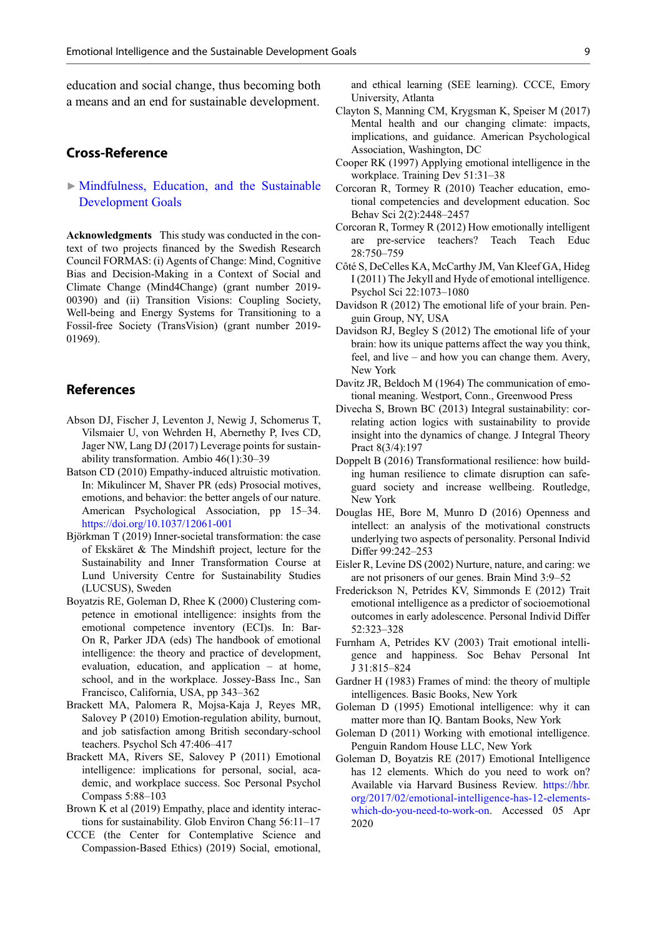<span id="page-8-0"></span>education and social change, thus becoming both a means and an end for sustainable development.

## Cross-Reference

 $\triangleright$  [Mindfulness, Education, and the Sustainable](http://link.springer.com/search?facet-eisbn=978-3-319-71066-2&facet-content-type=ReferenceWorkEntry&query=Mindfulness, Education, and the Sustainable Development Goals) [Development Goals](http://link.springer.com/search?facet-eisbn=978-3-319-71066-2&facet-content-type=ReferenceWorkEntry&query=Mindfulness, Education, and the Sustainable Development Goals)

Acknowledgments This study was conducted in the context of two projects financed by the Swedish Research Council FORMAS: (i) Agents of Change: Mind, Cognitive Bias and Decision-Making in a Context of Social and Climate Change (Mind4Change) (grant number 2019- 00390) and (ii) Transition Visions: Coupling Society, Well-being and Energy Systems for Transitioning to a Fossil-free Society (TransVision) (grant number 2019- 01969).

## **References**

- Abson DJ, Fischer J, Leventon J, Newig J, Schomerus T, Vilsmaier U, von Wehrden H, Abernethy P, Ives CD, Jager NW, Lang DJ (2017) Leverage points for sustainability transformation. Ambio 46(1):30–39
- Batson CD (2010) Empathy-induced altruistic motivation. In: Mikulincer M, Shaver PR (eds) Prosocial motives, emotions, and behavior: the better angels of our nature. American Psychological Association, pp 15–34. <https://doi.org/10.1037/12061-001>
- Björkman T (2019) Inner-societal transformation: the case of Ekskäret & The Mindshift project, lecture for the Sustainability and Inner Transformation Course at Lund University Centre for Sustainability Studies (LUCSUS), Sweden
- Boyatzis RE, Goleman D, Rhee K (2000) Clustering competence in emotional intelligence: insights from the emotional competence inventory (ECI)s. In: Bar-On R, Parker JDA (eds) The handbook of emotional intelligence: the theory and practice of development, evaluation, education, and application – at home, school, and in the workplace. Jossey-Bass Inc., San Francisco, California, USA, pp 343–362
- Brackett MA, Palomera R, Mojsa-Kaja J, Reyes MR, Salovey P (2010) Emotion-regulation ability, burnout, and job satisfaction among British secondary-school teachers. Psychol Sch 47:406–417
- Brackett MA, Rivers SE, Salovey P (2011) Emotional intelligence: implications for personal, social, academic, and workplace success. Soc Personal Psychol Compass 5:88–103
- Brown K et al (2019) Empathy, place and identity interactions for sustainability. Glob Environ Chang 56:11–17
- CCCE (the Center for Contemplative Science and Compassion-Based Ethics) (2019) Social, emotional,

and ethical learning (SEE learning). CCCE, Emory University, Atlanta

- Clayton S, Manning CM, Krygsman K, Speiser M (2017) Mental health and our changing climate: impacts, implications, and guidance. American Psychological Association, Washington, DC
- Cooper RK (1997) Applying emotional intelligence in the workplace. Training Dev 51:31–38
- Corcoran R, Tormey R (2010) Teacher education, emotional competencies and development education. Soc Behav Sci 2(2):2448–2457
- Corcoran R, Tormey R (2012) How emotionally intelligent are pre-service teachers? Teach Teach Educ 28:750–759
- Côté S, DeCelles KA, McCarthy JM, Van Kleef GA, Hideg I (2011) The Jekyll and Hyde of emotional intelligence. Psychol Sci 22:1073–1080
- Davidson R (2012) The emotional life of your brain. Penguin Group, NY, USA
- Davidson RJ, Begley S (2012) The emotional life of your brain: how its unique patterns affect the way you think, feel, and live – and how you can change them. Avery, New York
- Davitz JR, Beldoch M (1964) The communication of emotional meaning. Westport, Conn., Greenwood Press
- Divecha S, Brown BC (2013) Integral sustainability: correlating action logics with sustainability to provide insight into the dynamics of change. J Integral Theory Pract 8(3/4):197
- Doppelt B (2016) Transformational resilience: how building human resilience to climate disruption can safeguard society and increase wellbeing. Routledge, New York
- Douglas HE, Bore M, Munro D (2016) Openness and intellect: an analysis of the motivational constructs underlying two aspects of personality. Personal Individ Differ 99:242–253
- Eisler R, Levine DS (2002) Nurture, nature, and caring: we are not prisoners of our genes. Brain Mind 3:9–52
- Frederickson N, Petrides KV, Simmonds E (2012) Trait emotional intelligence as a predictor of socioemotional outcomes in early adolescence. Personal Individ Differ 52:323–328
- Furnham A, Petrides KV (2003) Trait emotional intelligence and happiness. Soc Behav Personal Int J 31:815–824
- Gardner H (1983) Frames of mind: the theory of multiple intelligences. Basic Books, New York
- Goleman D (1995) Emotional intelligence: why it can matter more than IQ. Bantam Books, New York
- Goleman D (2011) Working with emotional intelligence. Penguin Random House LLC, New York
- Goleman D, Boyatzis RE (2017) Emotional Intelligence has 12 elements. Which do you need to work on? Available via Harvard Business Review. [https://hbr.](https://hbr.org/2017/02/emotional-intelligence-has-12-elements-which-do-you-need-to-work-on) [org/2017/02/emotional-intelligence-has-12-elements](https://hbr.org/2017/02/emotional-intelligence-has-12-elements-which-do-you-need-to-work-on)[which-do-you-need-to-work-on](https://hbr.org/2017/02/emotional-intelligence-has-12-elements-which-do-you-need-to-work-on). Accessed 05 Apr 2020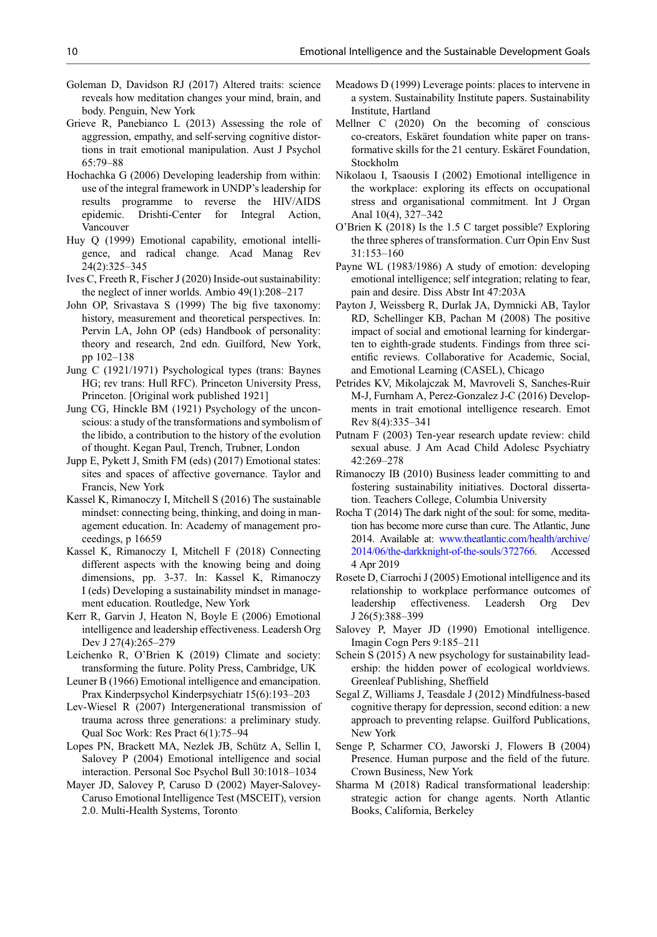- <span id="page-9-0"></span>Goleman D, Davidson RJ (2017) Altered traits: science reveals how meditation changes your mind, brain, and body. Penguin, New York
- Grieve R, Panebianco L (2013) Assessing the role of aggression, empathy, and self-serving cognitive distortions in trait emotional manipulation. Aust J Psychol 65:79–88
- Hochachka G (2006) Developing leadership from within: use of the integral framework in UNDP's leadership for results programme to reverse the HIV/AIDS epidemic. Drishti-Center for Integral Action, Vancouver
- Huy Q (1999) Emotional capability, emotional intelligence, and radical change. Acad Manag Rev 24(2):325–345
- Ives C, Freeth R, Fischer J (2020) Inside-out sustainability: the neglect of inner worlds. Ambio 49(1):208–217
- John OP, Srivastava S (1999) The big five taxonomy: history, measurement and theoretical perspectives. In: Pervin LA, John OP (eds) Handbook of personality: theory and research, 2nd edn. Guilford, New York, pp 102–138
- Jung C (1921/1971) Psychological types (trans: Baynes HG; rev trans: Hull RFC). Princeton University Press, Princeton. [Original work published 1921]
- Jung CG, Hinckle BM (1921) Psychology of the unconscious: a study of the transformations and symbolism of the libido, a contribution to the history of the evolution of thought. Kegan Paul, Trench, Trubner, London
- Jupp E, Pykett J, Smith FM (eds) (2017) Emotional states: sites and spaces of affective governance. Taylor and Francis, New York
- Kassel K, Rimanoczy I, Mitchell S (2016) The sustainable mindset: connecting being, thinking, and doing in management education. In: Academy of management proceedings, p 16659
- Kassel K, Rimanoczy I, Mitchell F (2018) Connecting different aspects with the knowing being and doing dimensions, pp. 3-37. In: Kassel K, Rimanoczy I (eds) Developing a sustainability mindset in management education. Routledge, New York
- Kerr R, Garvin J, Heaton N, Boyle E (2006) Emotional intelligence and leadership effectiveness. Leadersh Org Dev J 27(4):265–279
- Leichenko R, O'Brien K (2019) Climate and society: transforming the future. Polity Press, Cambridge, UK
- Leuner B (1966) Emotional intelligence and emancipation. Prax Kinderpsychol Kinderpsychiatr 15(6):193–203
- Lev-Wiesel R (2007) Intergenerational transmission of trauma across three generations: a preliminary study. Qual Soc Work: Res Pract 6(1):75–94
- Lopes PN, Brackett MA, Nezlek JB, Schütz A, Sellin I, Salovey P (2004) Emotional intelligence and social interaction. Personal Soc Psychol Bull 30:1018–1034
- Mayer JD, Salovey P, Caruso D (2002) Mayer-Salovey-Caruso Emotional Intelligence Test (MSCEIT), version 2.0. Multi-Health Systems, Toronto
- Meadows D (1999) Leverage points: places to intervene in a system. Sustainability Institute papers. Sustainability Institute, Hartland
- Mellner C (2020) On the becoming of conscious co-creators, Eskäret foundation white paper on transformative skills for the 21 century. Eskäret Foundation, Stockholm
- Nikolaou I, Tsaousis I (2002) Emotional intelligence in the workplace: exploring its effects on occupational stress and organisational commitment. Int J Organ Anal 10(4), 327–342
- O'Brien K (2018) Is the 1.5 C target possible? Exploring the three spheres of transformation. Curr Opin Env Sust 31:153–160
- Payne WL (1983/1986) A study of emotion: developing emotional intelligence; self integration; relating to fear, pain and desire. Diss Abstr Int 47:203A
- Payton J, Weissberg R, Durlak JA, Dymnicki AB, Taylor RD, Schellinger KB, Pachan M (2008) The positive impact of social and emotional learning for kindergarten to eighth-grade students. Findings from three scientific reviews. Collaborative for Academic, Social, and Emotional Learning (CASEL), Chicago
- Petrides KV, Mikolajczak M, Mavroveli S, Sanches-Ruir M-J, Furnham A, Perez-Gonzalez J-C (2016) Developments in trait emotional intelligence research. Emot Rev 8(4):335–341
- Putnam F (2003) Ten-year research update review: child sexual abuse. J Am Acad Child Adolesc Psychiatry 42:269–278
- Rimanoczy IB (2010) Business leader committing to and fostering sustainability initiatives. Doctoral dissertation. Teachers College, Columbia University
- Rocha T (2014) The dark night of the soul: for some, meditation has become more curse than cure. The Atlantic, June 2014. Available at: [www.theatlantic.com/health/archive/](http://www.theatlantic.com/health/archive/2014/06/the-darkknight-of-the-souls/372766) [2014/06/the-darkknight-of-the-souls/372766.](http://www.theatlantic.com/health/archive/2014/06/the-darkknight-of-the-souls/372766) Accessed 4 Apr 2019
- Rosete D, Ciarrochi J (2005) Emotional intelligence and its relationship to workplace performance outcomes of leadership effectiveness. Leadersh Org Dev J 26(5):388–399
- Salovey P, Mayer JD (1990) Emotional intelligence. Imagin Cogn Pers 9:185–211
- Schein S (2015) A new psychology for sustainability leadership: the hidden power of ecological worldviews. Greenleaf Publishing, Sheffield
- Segal Z, Williams J, Teasdale J (2012) Mindfulness-based cognitive therapy for depression, second edition: a new approach to preventing relapse. Guilford Publications, New York
- Senge P, Scharmer CO, Jaworski J, Flowers B (2004) Presence. Human purpose and the field of the future. Crown Business, New York
- Sharma M (2018) Radical transformational leadership: strategic action for change agents. North Atlantic Books, California, Berkeley